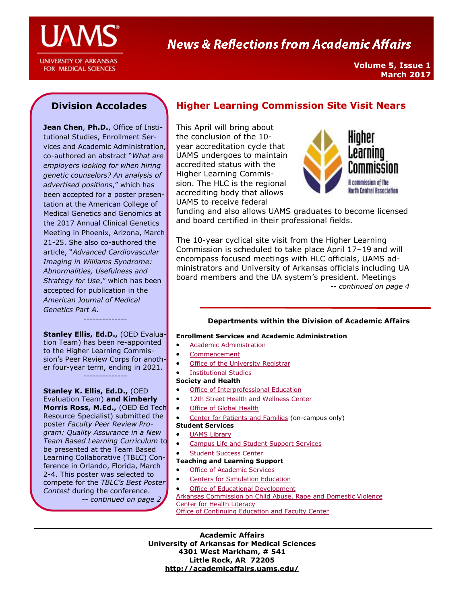

FOR MEDICAL SCIENCES

# **News & Reflections from Academic Affairs**

**Volume 5, Issue 1 March 2017**

## **Division Accolades**

**Jean Chen**, **Ph.D.**, Office of Institutional Studies, Enrollment Services and Academic Administration, co-authored an abstract "*What are employers looking for when hiring genetic counselors? An analysis of advertised positions*," which has been accepted for a poster presentation at the American College of Medical Genetics and Genomics at the 2017 Annual Clinical Genetics Meeting in Phoenix, Arizona, March 21-25. She also co-authored the article, "*Advanced Cardiovascular Imaging in Williams Syndrome: Abnormalities, Usefulness and Strategy for Use*," which has been accepted for publication in the *American Journal of Medical Genetics Part A*.

**Stanley Ellis, Ed.D.,** (OED Evaluation Team) has been re-appointed to the Higher Learning Commission's Peer Review Corps for another four-year term, ending in 2021. --------------

--------------

**Stanley K. Ellis, Ed.D.,** (OED Evaluation Team) **and Kimberly Morris Ross, M.Ed.,** (OED Ed Tech Resource Specialist) submitted the poster *Faculty Peer Review Program: Quality Assurance in a New Team Based Learning Curriculum* to be presented at the Team Based Learning Collaborative (TBLC) Conference in Orlando, Florida, March 2-4. This poster was selected to compete for the *TBLC's Best Poster Contest* during the conference.  *-- continued on page 2*

## **Higher Learning Commission Site Visit Nears**

This April will bring about the conclusion of the 10 year accreditation cycle that UAMS undergoes to maintain accredited status with the Higher Learning Commission. The HLC is the regional accrediting body that allows UAMS to receive federal



funding and also allows UAMS graduates to become licensed and board certified in their professional fields.

The 10-year cyclical site visit from the Higher Learning Commission is scheduled to take place April 17–19 and will encompass focused meetings with HLC officials, UAMS administrators and University of Arkansas officials including UA board members and the UA system's president. Meetings *-- continued on page 4*

#### **Departments within the Division of Academic Affairs**

#### **Enrollment Services and Academic Administration**

- **•** Academic Administration
- [Commencement](http://commencement.uams.edu/)
- [Office of the University Registrar](http://registrar.uams.edu)
- [Institutional Studies](http://academicaffairs.uams.edu/academic-support-and-services/institutional-studies/office-of-institutional-studies/)

#### **Society and Health**

- [Office of Interprofessional Education](http://ipe.uams.edu/)
- [12th Street Health and Wellness Center](http://healthon12th.uams.edu/)
- **•** [Office of Global Health](http://ogh.uams.edu/)
- [Center for Patients and Families](http://inside.uams.edu/pfcc/) (on-campus only)
- **Student Services**
- [UAMS Library](http://library.uams.edu/)
- [Campus Life and Student Support Services](http://studentlife.uams.edu/)
- [Student Success Center](http://library.uams.edu/library-info/aassc/)

#### **Teaching and Learning Support**

- [Office of Academic Services](http://oas.uams.edu/)
- [Centers for Simulation Education](http://medicalsim.uams.edu/)
- [Office of Educational Development](http://www.uams.edu/oed/)

[Arkansas Commission on Child Abuse, Rape and Domestic Violence](http://accardv.uams.edu/)

[Center for Health Literacy](http://healthliteracy.uams.edu/)

[Office of Continuing Education and Faculty Center](http://ce.uams.edu/)

**Academic Affairs University of Arkansas for Medical Sciences 4301 West Markham, # 541 Little Rock, AR 72205 <http://academicaffairs.uams.edu/>**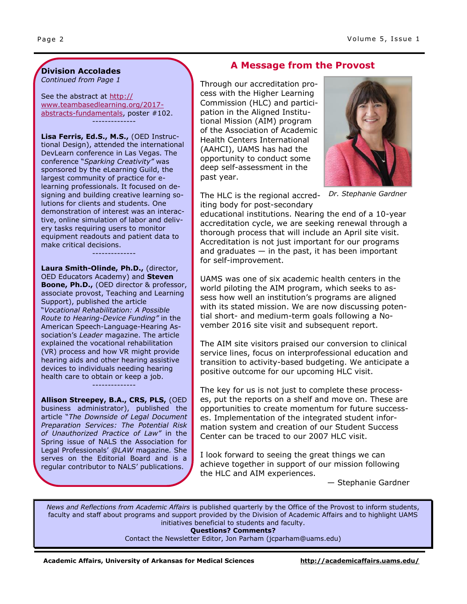#### **Division Accolades** *Continued from Page 1*

See the abstract at [http://](http://www.teambasedlearning.org/2017-abstracts-fundamentals/) [www.teambasedlearning.org/2017](http://www.teambasedlearning.org/2017-abstracts-fundamentals/) [abstracts-fundamentals,](http://www.teambasedlearning.org/2017-abstracts-fundamentals/) poster #102. --------------

**Lisa Ferris, Ed.S., M.S.,** (OED Instructional Design), attended the international DevLearn conference in Las Vegas. The conference "*Sparking Creativity"* was sponsored by the eLearning Guild, the largest community of practice for elearning professionals. It focused on designing and building creative learning solutions for clients and students. One demonstration of interest was an interactive, online simulation of labor and delivery tasks requiring users to monitor equipment readouts and patient data to make critical decisions.

--------------

**Laura Smith-Olinde, Ph.D.,** (director, OED Educators Academy) and **Steven Boone, Ph.D.,** (OED director & professor, associate provost, Teaching and Learning Support), published the article "*Vocational Rehabilitation: A Possible Route to Hearing-Device Funding"* in the American Speech-Language-Hearing Association's *Leader* magazine. The article explained the vocational rehabilitation (VR) process and how VR might provide hearing aids and other hearing assistive devices to individuals needing hearing health care to obtain or keep a job.

**Allison Streepey, B.A., CRS, PLS,** (OED business administrator), published the article "*The Downside of Legal Document Preparation Services: The Potential Risk of Unauthorized Practice of Law"* in the Spring issue of NALS the Association for Legal Professionals' *@LAW* magazine*.* She serves on the Editorial Board and is a regular contributor to NALS' publications.

--------------

## **A Message from the Provost**

Through our accreditation process with the Higher Learning Commission (HLC) and participation in the Aligned Institutional Mission (AIM) program of the Association of Academic Health Centers International (AAHCI), UAMS has had the opportunity to conduct some deep self-assessment in the past year.



educational institutions. Nearing the end of a 10-year accreditation cycle, we are seeking renewal through a thorough process that will include an April site visit. Accreditation is not just important for our programs and graduates  $-$  in the past, it has been important for self-improvement.

UAMS was one of six academic health centers in the world piloting the AIM program, which seeks to assess how well an institution's programs are aligned with its stated mission. We are now discussing potential short- and medium-term goals following a November 2016 site visit and subsequent report.

The AIM site visitors praised our conversion to clinical service lines, focus on interprofessional education and transition to activity-based budgeting. We anticipate a positive outcome for our upcoming HLC visit.

The key for us is not just to complete these processes, put the reports on a shelf and move on. These are opportunities to create momentum for future successes. Implementation of the integrated student information system and creation of our Student Success Center can be traced to our 2007 HLC visit.

I look forward to seeing the great things we can achieve together in support of our mission following the HLC and AIM experiences.

— Stephanie Gardner

*News and Reflections from Academic Affairs* is published quarterly by the Office of the Provost to inform students, faculty and staff about programs and support provided by the Division of Academic Affairs and to highlight UAMS initiatives beneficial to students and faculty.

**Questions? Comments?**

Contact the Newsletter Editor, Jon Parham [\(jcparham@uams.edu\)](mailto:jdelavan@uams.edu)

**Academic Affairs, University of Arkansas for Medical Sciences <http://academicaffairs.uams.edu/>**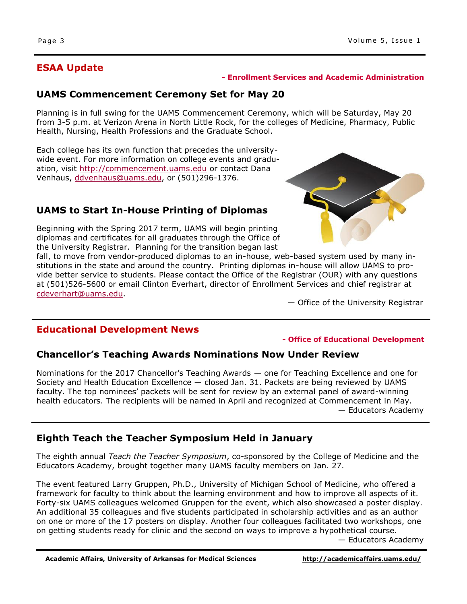## **ESAA Update**

#### **- Enrollment Services and Academic Administration**

### **UAMS Commencement Ceremony Set for May 20**

Planning is in full swing for the UAMS Commencement Ceremony, which will be Saturday, May 20 from 3-5 p.m. at Verizon Arena in North Little Rock, for the colleges of Medicine, Pharmacy, Public Health, Nursing, Health Professions and the Graduate School.

Each college has its own function that precedes the universitywide event. For more information on college events and graduation, visit <http://commencement.uams.edu> or contact Dana Venhaus, [ddvenhaus@uams.edu,](mailto:ddvenhaus@uams.edu) or (501)296-1376.

## **UAMS to Start In-House Printing of Diplomas**

Beginning with the Spring 2017 term, UAMS will begin printing diplomas and certificates for all graduates through the Office of the University Registrar. Planning for the transition began last

fall, to move from vendor-produced diplomas to an in-house, web-based system used by many institutions in the state and around the country. Printing diplomas in-house will allow UAMS to provide better service to students. Please contact the Office of the Registrar (OUR) with any questions

at (501)526-5600 or email Clinton Everhart, director of Enrollment Services and chief registrar at [cdeverhart@uams.edu.](mailto:cdeverhart@uams.edu)

— Office of the University Registrar

### **Educational Development News**

#### **- Office of Educational Development**

### **Chancellor's Teaching Awards Nominations Now Under Review**

Nominations for the 2017 Chancellor's Teaching Awards — one for Teaching Excellence and one for Society and Health Education Excellence — closed Jan. 31. Packets are being reviewed by UAMS faculty. The top nominees' packets will be sent for review by an external panel of award-winning health educators. The recipients will be named in April and recognized at Commencement in May. — Educators Academy

### **Eighth Teach the Teacher Symposium Held in January**

The eighth annual *Teach the Teacher Symposium*, co-sponsored by the College of Medicine and the Educators Academy, brought together many UAMS faculty members on Jan. 27.

The event featured Larry Gruppen, Ph.D., University of Michigan School of Medicine, who offered a framework for faculty to think about the learning environment and how to improve all aspects of it. Forty-six UAMS colleagues welcomed Gruppen for the event, which also showcased a poster display. An additional 35 colleagues and five students participated in scholarship activities and as an author on one or more of the 17 posters on display. Another four colleagues facilitated two workshops, one on getting students ready for clinic and the second on ways to improve a hypothetical course.

— Educators Academy

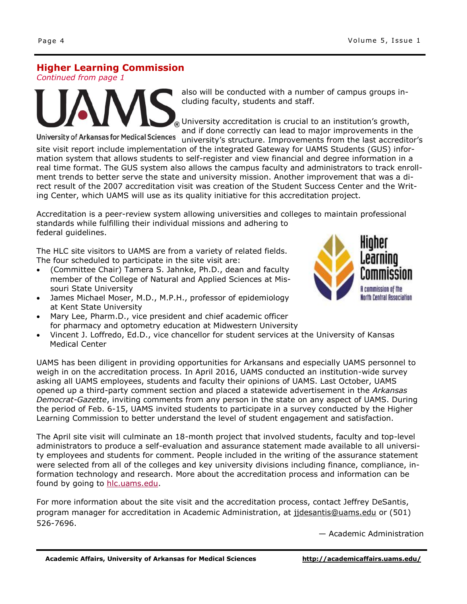## **Higher Learning Commission**

*Continued from page 1*

also will be conducted with a number of campus groups including faculty, students and staff.

University accreditation is crucial to an institution's growth, and if done correctly can lead to major improvements in the

**University of Arkansas for Medical Sciences** university's structure. Improvements from the last accreditor's site visit report include implementation of the integrated Gateway for UAMS Students (GUS) information system that allows students to self-register and view financial and degree information in a real time format. The GUS system also allows the campus faculty and administrators to track enrollment trends to better serve the state and university mission. Another improvement that was a direct result of the 2007 accreditation visit was creation of the Student Success Center and the Writing Center, which UAMS will use as its quality initiative for this accreditation project.

Accreditation is a peer-review system allowing universities and colleges to maintain professional standards while fulfilling their individual missions and adhering to federal guidelines.

The HLC site visitors to UAMS are from a variety of related fields. The four scheduled to participate in the site visit are:

- (Committee Chair) Tamera S. Jahnke, Ph.D., dean and faculty member of the College of Natural and Applied Sciences at Missouri State University
- James Michael Moser, M.D., M.P.H., professor of epidemiology at Kent State University
- Mary Lee, Pharm.D., vice president and chief academic officer for pharmacy and optometry education at Midwestern University
- Vincent J. Loffredo, Ed.D., vice chancellor for student services at the University of Kansas Medical Center

UAMS has been diligent in providing opportunities for Arkansans and especially UAMS personnel to weigh in on the accreditation process. In April 2016, UAMS conducted an institution-wide survey asking all UAMS employees, students and faculty their opinions of UAMS. Last October, UAMS opened up a third-party comment section and placed a statewide advertisement in the *Arkansas Democrat-Gazette*, inviting comments from any person in the state on any aspect of UAMS. During the period of Feb. 6-15, UAMS invited students to participate in a survey conducted by the Higher Learning Commission to better understand the level of student engagement and satisfaction.

The April site visit will culminate an 18-month project that involved students, faculty and top-level administrators to produce a self-evaluation and assurance statement made available to all university employees and students for comment. People included in the writing of the assurance statement were selected from all of the colleges and key university divisions including finance, compliance, information technology and research. More about the accreditation process and information can be found by going to [hlc.uams.edu.](http://hlc.uams.edu/)

For more information about the site visit and the accreditation process, contact Jeffrey DeSantis, program manager for accreditation in Academic Administration, at [jjdesantis@uams.edu](mailto:jjdesantis@uams.edu) or (501) 526-7696.

— Academic Administration



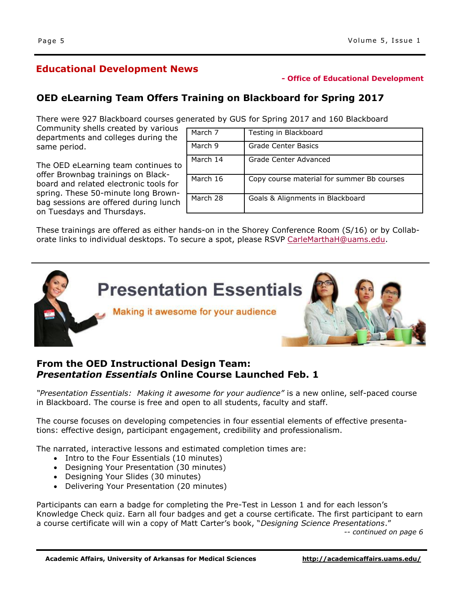## **Educational Development News**

### **- Office of Educational Development**

## **OED eLearning Team Offers Training on Blackboard for Spring 2017**

There were 927 Blackboard courses generated by GUS for Spring 2017 and 160 Blackboard

Community shells created by various departments and colleges during the same period.

| The OED eLearning team continues to    |  |  |
|----------------------------------------|--|--|
| offer Brownbag trainings on Black-     |  |  |
| board and related electronic tools for |  |  |
| spring. These 50-minute long Brown-    |  |  |
| bag sessions are offered during lunch  |  |  |
| on Tuesdays and Thursdays.             |  |  |

| March 7  | Testing in Blackboard                      |
|----------|--------------------------------------------|
| March 9  | <b>Grade Center Basics</b>                 |
| March 14 | Grade Center Advanced                      |
| March 16 | Copy course material for summer Bb courses |
| March 28 | Goals & Alignments in Blackboard           |

These trainings are offered as either hands-on in the Shorey Conference Room (S/16) or by Collaborate links to individual desktops. To secure a spot, please RSVP [CarleMarthaH@uams.edu.](mailto:CarleMarthaH@uams.edu)



### **From the OED Instructional Design Team:** *Presentation Essentials* **Online Course Launched Feb. 1**

*"Presentation Essentials: Making it awesome for your audience"* is a new online, self-paced course in Blackboard. The course is free and open to all students, faculty and staff.

The course focuses on developing competencies in four essential elements of effective presentations: effective design, participant engagement, credibility and professionalism.

The narrated, interactive lessons and estimated completion times are:

- Intro to the Four Essentials (10 minutes)
- Designing Your Presentation (30 minutes)
- Designing Your Slides (30 minutes)
- Delivering Your Presentation (20 minutes)

Participants can earn a badge for completing the Pre-Test in Lesson 1 and for each lesson's Knowledge Check quiz. Earn all four badges and get a course certificate. The first participant to earn a course certificate will win a copy of Matt Carter's book, "*Designing Science Presentations*."

*-- continued on page 6*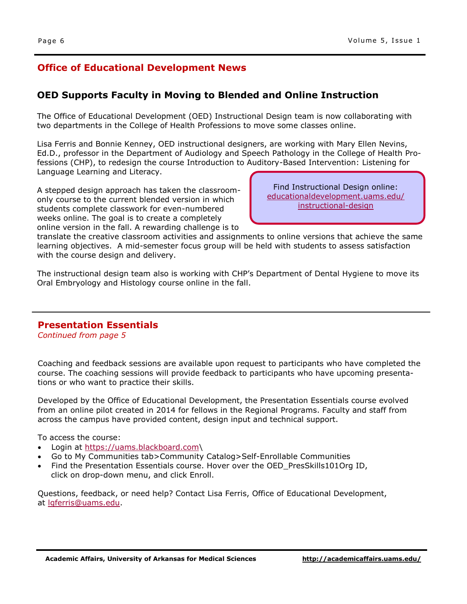## **Office of Educational Development News**

## **OED Supports Faculty in Moving to Blended and Online Instruction**

The Office of Educational Development (OED) Instructional Design team is now collaborating with two departments in the College of Health Professions to move some classes online.

Lisa Ferris and Bonnie Kenney, OED instructional designers, are working with Mary Ellen Nevins, Ed.D., professor in the Department of Audiology and Speech Pathology in the College of Health Professions (CHP), to redesign the course Introduction to Auditory-Based Intervention: Listening for Language Learning and Literacy.

A stepped design approach has taken the classroomonly course to the current blended version in which students complete classwork for even-numbered weeks online. The goal is to create a completely online version in the fall. A rewarding challenge is to

Find Instructional Design online: [educationaldevelopment.uams.edu/](http://educationaldevelopment.uams.edu/instructional-design/) [instructional-design](http://educationaldevelopment.uams.edu/instructional-design/)

translate the creative classroom activities and assignments to online versions that achieve the same learning objectives. A mid-semester focus group will be held with students to assess satisfaction with the course design and delivery.

The instructional design team also is working with CHP's Department of Dental Hygiene to move its Oral Embryology and Histology course online in the fall.

### **Presentation Essentials**

*Continued from page 5*

Coaching and feedback sessions are available upon request to participants who have completed the course. The coaching sessions will provide feedback to participants who have upcoming presentations or who want to practice their skills.

Developed by the Office of Educational Development, the Presentation Essentials course evolved from an online pilot created in 2014 for fellows in the Regional Programs. Faculty and staff from across the campus have provided content, design input and technical support.

To access the course:

- Login at [https://uams.blackboard.com\](https://uams.blackboard.com)
- Go to My Communities tab>Community Catalog>Self-Enrollable Communities
- Find the Presentation Essentials course. Hover over the OED\_PresSkills101Org ID, click on drop-down menu, and click Enroll.

Questions, feedback, or need help? Contact Lisa Ferris, Office of Educational Development, at [lgferris@uams.edu.](mailto:lgferris@uams.edu)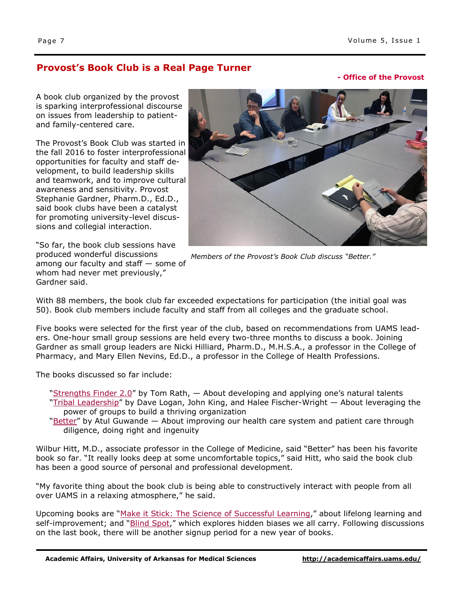## **Provost's Book Club is a Real Page Turner**

#### **- Office of the Provost**

A book club organized by the provost is sparking interprofessional discourse on issues from leadership to patientand family-centered care.

The Provost's Book Club was started in the fall 2016 to foster interprofessional opportunities for faculty and staff development, to build leadership skills and teamwork, and to improve cultural awareness and sensitivity. Provost Stephanie Gardner, Pharm.D., Ed.D., said book clubs have been a catalyst for promoting university-level discussions and collegial interaction.

"So far, the book club sessions have produced wonderful discussions among our faculty and staff — some of whom had never met previously," Gardner said.



*Members of the Provost's Book Club discuss "Better."*

With 88 members, the book club far exceeded expectations for participation (the initial goal was 50). Book club members include faculty and staff from all colleges and the graduate school.

Five books were selected for the first year of the club, based on recommendations from UAMS leaders. One-hour small group sessions are held every two-three months to discuss a book. Joining Gardner as small group leaders are Nicki Hilliard, Pharm.D., M.H.S.A., a professor in the College of Pharmacy, and Mary Ellen Nevins, Ed.D., a professor in the College of Health Professions.

The books discussed so far include:

"[Strengths Finder 2.0](http://www.tomrath.org/book/strengthsfinder/)" by Tom Rath,  $-$  About developing and applying one's natural talents "[Tribal Leadership](http://www.triballeadership.net/book)" by Dave Logan, John King, and Halee Fischer-Wright - About leveraging the power of groups to build a thriving organization

"[Better](http://atulgawande.com/book/better/)" by Atul Guwande — About improving our health care system and patient care through diligence, doing right and ingenuity

Wilbur Hitt, M.D., associate professor in the College of Medicine, said "Better" has been his favorite book so far. "It really looks deep at some uncomfortable topics," said Hitt, who said the book club has been a good source of personal and professional development.

"My favorite thing about the book club is being able to constructively interact with people from all over UAMS in a relaxing atmosphere," he said.

Upcoming books are "[Make it Stick: The Science of Successful Learning](http://makeitstick.net/)," about lifelong learning and self-improvement; and "[Blind Spot](http://blindspot.fas.harvard.edu/)," which explores hidden biases we all carry. Following discussions on the last book, there will be another signup period for a new year of books.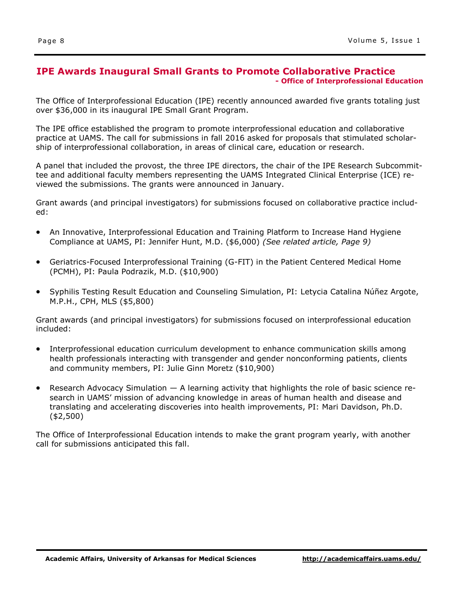### **IPE Awards Inaugural Small Grants to Promote Collaborative Practice - Office of Interprofessional Education**

The Office of Interprofessional Education (IPE) recently announced awarded five grants totaling just over \$36,000 in its inaugural IPE Small Grant Program.

The IPE office established the program to promote interprofessional education and collaborative practice at UAMS. The call for submissions in fall 2016 asked for proposals that stimulated scholarship of interprofessional collaboration, in areas of clinical care, education or research.

A panel that included the provost, the three IPE directors, the chair of the IPE Research Subcommittee and additional faculty members representing the UAMS Integrated Clinical Enterprise (ICE) reviewed the submissions. The grants were announced in January.

Grant awards (and principal investigators) for submissions focused on collaborative practice included:

- An Innovative, Interprofessional Education and Training Platform to Increase Hand Hygiene Compliance at UAMS, PI: Jennifer Hunt, M.D. (\$6,000) *(See related article, Page 9)*
- Geriatrics-Focused Interprofessional Training (G-FIT) in the Patient Centered Medical Home (PCMH), PI: Paula Podrazik, M.D. (\$10,900)
- Syphilis Testing Result Education and Counseling Simulation, PI: Letycia Catalina Núñez Argote, M.P.H., CPH, MLS (\$5,800)

Grant awards (and principal investigators) for submissions focused on interprofessional education included:

- Interprofessional education curriculum development to enhance communication skills among health professionals interacting with transgender and gender nonconforming patients, clients and community members, PI: Julie Ginn Moretz (\$10,900)
- Research Advocacy Simulation A learning activity that highlights the role of basic science research in UAMS' mission of advancing knowledge in areas of human health and disease and translating and accelerating discoveries into health improvements, PI: Mari Davidson, Ph.D. (\$2,500)

The Office of Interprofessional Education intends to make the grant program yearly, with another call for submissions anticipated this fall.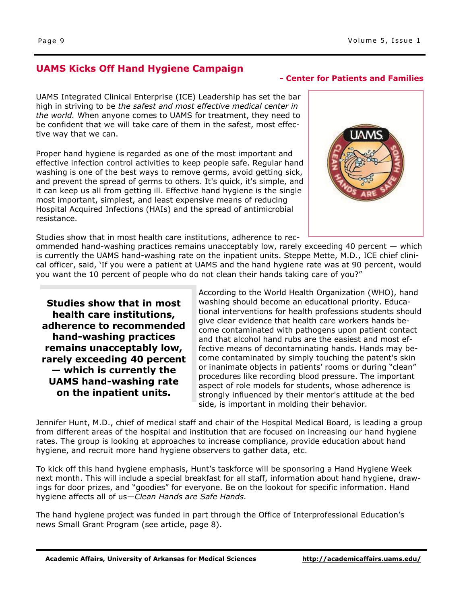## **UAMS Kicks Off Hand Hygiene Campaign**

UAMS Integrated Clinical Enterprise (ICE) Leadership has set the bar high in striving to be *the safest and most effective medical center in the world.* When anyone comes to UAMS for treatment, they need to be confident that we will take care of them in the safest, most effective way that we can.

Proper hand hygiene is regarded as one of the most important and effective infection control activities to keep people safe. Regular hand washing is one of the best ways to remove germs, avoid getting sick, and prevent the spread of germs to others. It's quick, it's simple, and it can keep us all from getting ill. Effective hand hygiene is the single most important, simplest, and least expensive means of reducing Hospital Acquired Infections (HAIs) and the spread of antimicrobial resistance.

Studies show that in most health care institutions, adherence to rec-

#### **- Center for Patients and Families**



ommended hand-washing practices remains unacceptably low, rarely exceeding 40 percent — which is currently the UAMS hand-washing rate on the inpatient units. Steppe Mette, M.D., ICE chief clinical officer, said, 'If you were a patient at UAMS and the hand hygiene rate was at 90 percent, would you want the 10 percent of people who do not clean their hands taking care of you?"

**Studies show that in most health care institutions, adherence to recommended hand-washing practices remains unacceptably low, rarely exceeding 40 percent — which is currently the UAMS hand-washing rate on the inpatient units.**

According to the World Health Organization (WHO), hand washing should become an educational priority. Educational interventions for health professions students should give clear evidence that health care workers hands become contaminated with pathogens upon patient contact and that alcohol hand rubs are the easiest and most effective means of decontaminating hands. Hands may become contaminated by simply touching the patent's skin or inanimate objects in patients' rooms or during "clean" procedures like recording blood pressure. The important aspect of role models for students, whose adherence is strongly influenced by their mentor's attitude at the bed side, is important in molding their behavior.

Jennifer Hunt, M.D., chief of medical staff and chair of the Hospital Medical Board, is leading a group from different areas of the hospital and institution that are focused on increasing our hand hygiene rates. The group is looking at approaches to increase compliance, provide education about hand hygiene, and recruit more hand hygiene observers to gather data, etc.

To kick off this hand hygiene emphasis, Hunt's taskforce will be sponsoring a Hand Hygiene Week next month. This will include a special breakfast for all staff, information about hand hygiene, drawings for door prizes, and "goodies" for everyone. Be on the lookout for specific information. Hand hygiene affects all of us—*Clean Hands are Safe Hands.*

The hand hygiene project was funded in part through the Office of Interprofessional Education's news Small Grant Program (see article, page 8).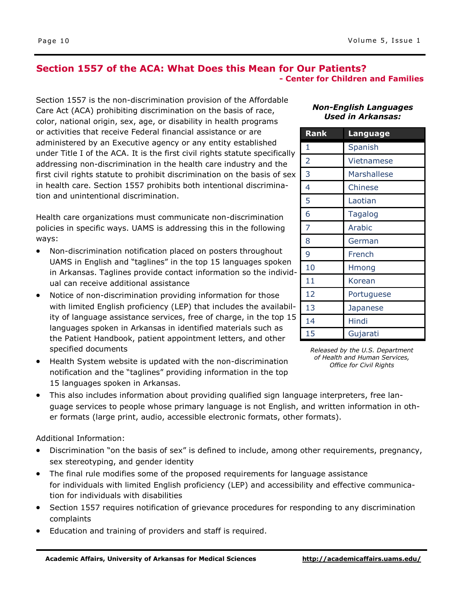### **Section 1557 of the ACA: What Does this Mean for Our Patients? - Center for Children and Families**

Section 1557 is the non-discrimination provision of the Affordable Care Act (ACA) prohibiting discrimination on the basis of race, color, national origin, sex, age, or disability in health programs or activities that receive Federal financial assistance or are administered by an Executive agency or any entity established under Title I of the ACA. It is the first civil rights statute specifically addressing non-discrimination in the health care industry and the first civil rights statute to prohibit discrimination on the basis of sex in health care. Section 1557 prohibits both intentional discrimination and unintentional discrimination.

Health care organizations must communicate non-discrimination policies in specific ways. UAMS is addressing this in the following ways:

- Non-discrimination notification placed on posters throughout UAMS in English and "taglines" in the top 15 languages spoken in Arkansas. Taglines provide contact information so the individual can receive additional assistance
- Notice of non-discrimination providing information for those with limited English proficiency (LEP) that includes the availability of language assistance services, free of charge, in the top 15 languages spoken in Arkansas in identified materials such as the Patient Handbook, patient appointment letters, and other specified documents
- Health System website is updated with the non-discrimination notification and the "taglines" providing information in the top 15 languages spoken in Arkansas.
- This also includes information about providing qualified sign language interpreters, free language services to people whose primary language is not English, and written information in other formats (large print, audio, accessible electronic formats, other formats).

Additional Information:

- Discrimination "on the basis of sex" is defined to include, among other requirements, pregnancy, sex stereotyping, and gender identity
- The final rule modifies some of the proposed requirements for language assistance for individuals with limited English proficiency (LEP) and accessibility and effective communication for individuals with disabilities
- Section 1557 requires notification of grievance procedures for responding to any discrimination complaints
- Education and training of providers and staff is required.

#### *Non-English Languages Used in Arkansas:*

| <b>Rank</b>    | <b>Language</b>    |
|----------------|--------------------|
| 1              | Spanish            |
| $\overline{2}$ | Vietnamese         |
| 3              | <b>Marshallese</b> |
| 4              | Chinese            |
| 5              | Laotian            |
| 6              | <b>Tagalog</b>     |
| 7              | Arabic             |
| 8              | German             |
| 9              | French             |
| 10             | Hmong              |
| 11             | Korean             |
| 12             | Portuguese         |
| 13             | Japanese           |
| 14             | Hindi              |
| 15             | Gujarati           |

*Released by the U.S. Department of Health and Human Services, Office for Civil Rights*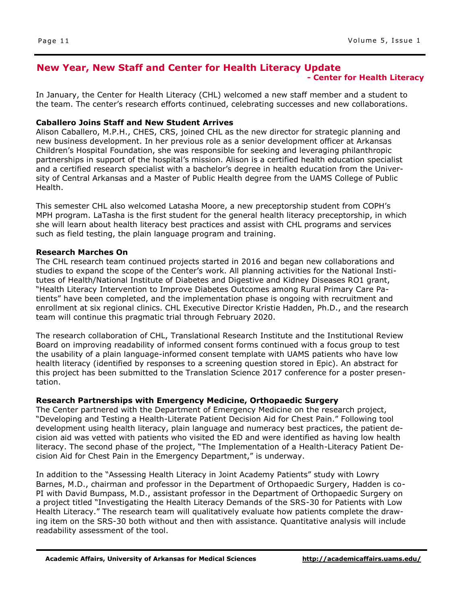### **New Year, New Staff and Center for Health Literacy Update - Center for Health Literacy**

In January, the Center for Health Literacy (CHL) welcomed a new staff member and a student to the team. The center's research efforts continued, celebrating successes and new collaborations.

#### **Caballero Joins Staff and New Student Arrives**

Alison Caballero, M.P.H., CHES, CRS, joined CHL as the new director for strategic planning and new business development. In her previous role as a senior development officer at Arkansas Children's Hospital Foundation, she was responsible for seeking and leveraging philanthropic partnerships in support of the hospital's mission. Alison is a certified health education specialist and a certified research specialist with a bachelor's degree in health education from the University of Central Arkansas and a Master of Public Health degree from the UAMS College of Public Health.

This semester CHL also welcomed Latasha Moore, a new preceptorship student from COPH's MPH program. LaTasha is the first student for the general health literacy preceptorship, in which she will learn about health literacy best practices and assist with CHL programs and services such as field testing, the plain language program and training.

#### **Research Marches On**

The CHL research team continued projects started in 2016 and began new collaborations and studies to expand the scope of the Center's work. All planning activities for the National Institutes of Health/National Institute of Diabetes and Digestive and Kidney Diseases RO1 grant, "Health Literacy Intervention to Improve Diabetes Outcomes among Rural Primary Care Patients" have been completed, and the implementation phase is ongoing with recruitment and enrollment at six regional clinics. CHL Executive Director Kristie Hadden, Ph.D., and the research team will continue this pragmatic trial through February 2020.

The research collaboration of CHL, Translational Research Institute and the Institutional Review Board on improving readability of informed consent forms continued with a focus group to test the usability of a plain language-informed consent template with UAMS patients who have low health literacy (identified by responses to a screening question stored in Epic). An abstract for this project has been submitted to the Translation Science 2017 conference for a poster presentation.

#### **Research Partnerships with Emergency Medicine, Orthopaedic Surgery**

The Center partnered with the Department of Emergency Medicine on the research project, "Developing and Testing a Health-Literate Patient Decision Aid for Chest Pain." Following tool development using health literacy, plain language and numeracy best practices, the patient decision aid was vetted with patients who visited the ED and were identified as having low health literacy. The second phase of the project, "The Implementation of a Health-Literacy Patient Decision Aid for Chest Pain in the Emergency Department," is underway.

In addition to the "Assessing Health Literacy in Joint Academy Patients" study with Lowry Barnes, M.D., chairman and professor in the Department of Orthopaedic Surgery, Hadden is co-PI with David Bumpass, M.D., assistant professor in the Department of Orthopaedic Surgery on a project titled "Investigating the Health Literacy Demands of the SRS-30 for Patients with Low Health Literacy." The research team will qualitatively evaluate how patients complete the drawing item on the SRS-30 both without and then with assistance. Quantitative analysis will include readability assessment of the tool.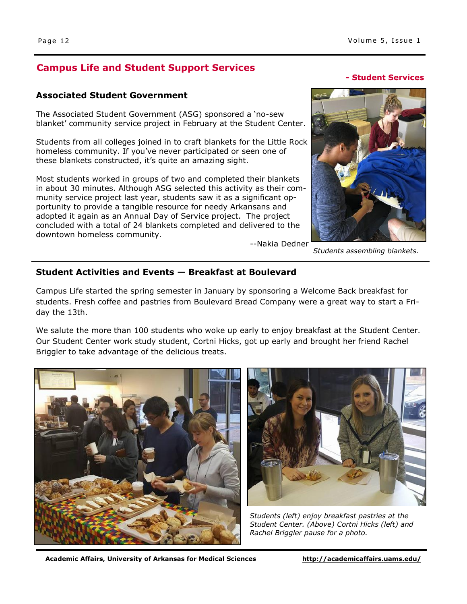## **Campus Life and Student Support Services**

### **Associated Student Government**

The Associated Student Government (ASG) sponsored a 'no-sew blanket' community service project in February at the Student Center.

Students from all colleges joined in to craft blankets for the Little Rock homeless community. If you've never participated or seen one of these blankets constructed, it's quite an amazing sight.

Most students worked in groups of two and completed their blankets in about 30 minutes. Although ASG selected this activity as their community service project last year, students saw it as a significant opportunity to provide a tangible resource for needy Arkansans and adopted it again as an Annual Day of Service project. The project concluded with a total of 24 blankets completed and delivered to the downtown homeless community.

--Nakia Dedner

### **- Student Services**



*Students assembling blankets.*

### **Student Activities and Events — Breakfast at Boulevard**

Campus Life started the spring semester in January by sponsoring a Welcome Back breakfast for students. Fresh coffee and pastries from Boulevard Bread Company were a great way to start a Friday the 13th.

We salute the more than 100 students who woke up early to enjoy breakfast at the Student Center. Our Student Center work study student, Cortni Hicks, got up early and brought her friend Rachel Briggler to take advantage of the delicious treats.





*Students (left) enjoy breakfast pastries at the Student Center. (Above) Cortni Hicks (left) and Rachel Briggler pause for a photo.*

**Academic Affairs, University of Arkansas for Medical Sciences <http://academicaffairs.uams.edu/>**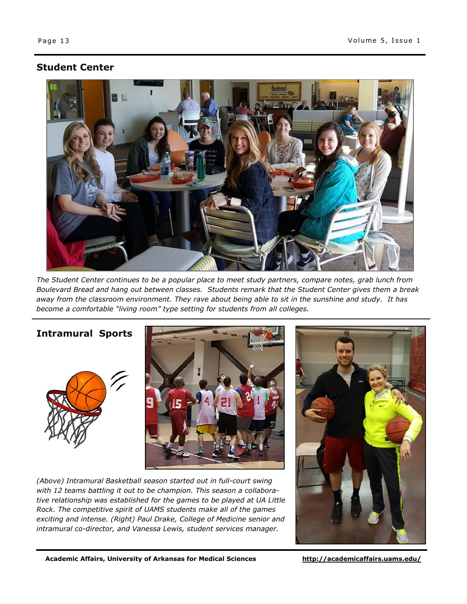### **Student Center**



*The Student Center continues to be a popular place to meet study partners, compare notes, grab lunch from Boulevard Bread and hang out between classes. Students remark that the Student Center gives them a break away from the classroom environment. They rave about being able to sit in the sunshine and study. It has become a comfortable "living room" type setting for students from all colleges.* 

**Intramural Sports**





*(Above) Intramural Basketball season started out in full-court swing with 12 teams battling it out to be champion. This season a collaborative relationship was established for the games to be played at UA Little Rock. The competitive spirit of UAMS students make all of the games exciting and intense. (Right) Paul Drake, College of Medicine senior and intramural co-director, and Vanessa Lewis, student services manager.*

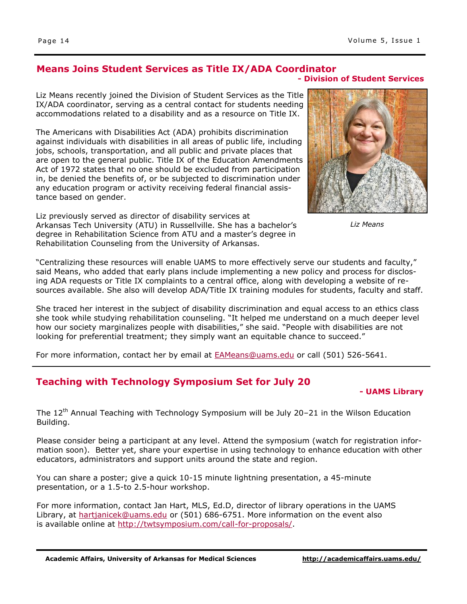## **Means Joins Student Services as Title IX/ADA Coordinator**

**- Division of Student Services**

Liz Means recently joined the Division of Student Services as the Title IX/ADA coordinator, serving as a central contact for students needing accommodations related to a disability and as a resource on Title IX.

The Americans with Disabilities Act (ADA) prohibits discrimination against individuals with disabilities in all areas of public life, including jobs, schools, transportation, and all public and private places that are open to the general public. Title IX of the Education Amendments Act of 1972 states that no one should be excluded from participation in, be denied the benefits of, or be subjected to discrimination under any education program or activity receiving federal financial assistance based on gender.

Liz previously served as director of disability services at Arkansas Tech University (ATU) in Russellville. She has a bachelor's degree in Rehabilitation Science from ATU and a master's degree in Rehabilitation Counseling from the University of Arkansas.



*Liz Means*

"Centralizing these resources will enable UAMS to more effectively serve our students and faculty," said Means, who added that early plans include implementing a new policy and process for disclosing ADA requests or Title IX complaints to a central office, along with developing a website of resources available. She also will develop ADA/Title IX training modules for students, faculty and staff.

She traced her interest in the subject of disability discrimination and equal access to an ethics class she took while studying rehabilitation counseling. "It helped me understand on a much deeper level how our society marginalizes people with disabilities," she said. "People with disabilities are not looking for preferential treatment; they simply want an equitable chance to succeed."

For more information, contact her by email at [EAMeans@uams.edu](mailto:EAMeans@uams.edu) or call (501) 526-5641.

## **Teaching with Technology Symposium Set for July 20**

#### **- UAMS Library**

The  $12<sup>th</sup>$  Annual Teaching with Technology Symposium will be July 20–21 in the Wilson Education Building.

Please consider being a participant at any level. Attend the symposium (watch for registration information soon). Better yet, share your expertise in using technology to enhance education with other educators, administrators and support units around the state and region.

You can share a poster; give a quick 10-15 minute lightning presentation, a 45-minute presentation, or a 1.5-to 2.5-hour workshop.

For more information, contact Jan Hart, MLS, Ed.D, director of library operations in the UAMS Library, at [hartjanicek@uams.edu](mailto:hartjanicek@uams.edu) or (501) 686-6751. More information on the event also is available online at [http://twtsymposium.com/call-for-proposals/.](http://twtsymposium.com/call-for-proposals/)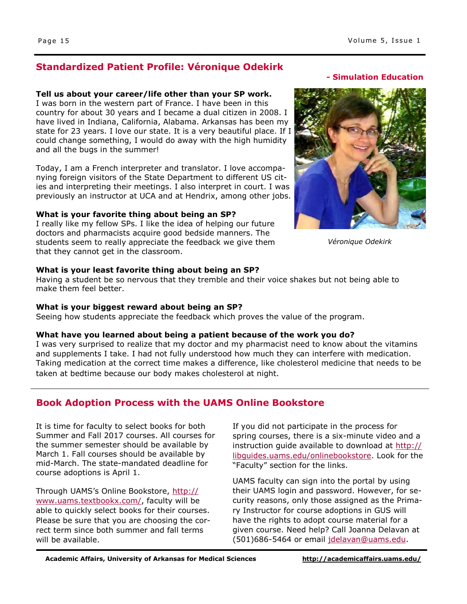## **Standardized Patient Profile: Véronique Odekirk**

### **Tell us about your career/life other than your SP work.**

I was born in the western part of France. I have been in this country for about 30 years and I became a dual citizen in 2008. I have lived in Indiana, California, Alabama. Arkansas has been my state for 23 years. I love our state. It is a very beautiful place. If I could change something, I would do away with the high humidity and all the bugs in the summer!

Today, I am a French interpreter and translator. I love accompanying foreign visitors of the State Department to different US cities and interpreting their meetings. I also interpret in court. I was previously an instructor at UCA and at Hendrix, among other jobs.

### **What is your favorite thing about being an SP?**

I really like my fellow SPs. I like the idea of helping our future doctors and pharmacists acquire good bedside manners. The students seem to really appreciate the feedback we give them that they cannot get in the classroom.

### **What is your least favorite thing about being an SP?**

Having a student be so nervous that they tremble and their voice shakes but not being able to make them feel better.

#### **What is your biggest reward about being an SP?**

Seeing how students appreciate the feedback which proves the value of the program.

#### **What have you learned about being a patient because of the work you do?**

I was very surprised to realize that my doctor and my pharmacist need to know about the vitamins and supplements I take. I had not fully understood how much they can interfere with medication. Taking medication at the correct time makes a difference, like cholesterol medicine that needs to be taken at bedtime because our body makes cholesterol at night.

## **Book Adoption Process with the UAMS Online Bookstore**

It is time for faculty to select books for both Summer and Fall 2017 courses. All courses for the summer semester should be available by March 1. Fall courses should be available by mid-March. The state-mandated deadline for course adoptions is April 1.

Through UAMS's Online Bookstore, [http://](http://www.uams.textbookx.com/institutional/index.php) [www.uams.textbookx.com/,](http://www.uams.textbookx.com/institutional/index.php) faculty will be able to quickly select books for their courses. Please be sure that you are choosing the correct term since both summer and fall terms will be available.

If you did not participate in the process for spring courses, there is a six-minute video and a instruction guide available to download at [http://](http://libguides.uams.edu/onlinebookstore) [libguides.uams.edu/onlinebookstore.](http://libguides.uams.edu/onlinebookstore) Look for the "Faculty" section for the links.

UAMS faculty can sign into the portal by using their UAMS login and password. However, for security reasons, only those assigned as the Primary Instructor for course adoptions in GUS will have the rights to adopt course material for a given course. Need help? Call Joanna Delavan at (501)686-5464 or email [jdelavan@uams.edu.](mailto:jdelavan@uams.edu?subject=book%20adoptions)

### **- Simulation Education**



*Véronique Odekirk*